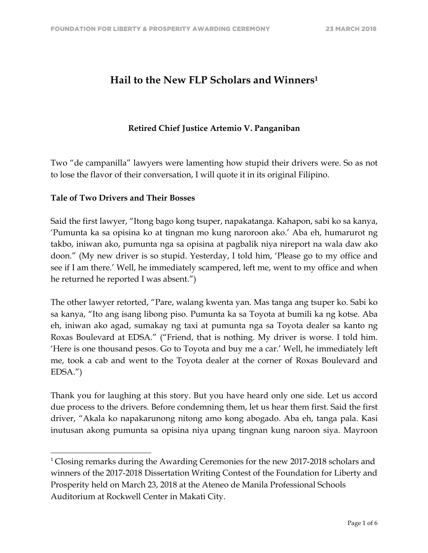# **Hail to the New FLP Scholars and Winners1**

# **Retired Chief Justice Artemio V. Panganiban**

Two "de campanilla" lawyers were lamenting how stupid their drivers were. So as not to lose the flavor of their conversation, I will quote it in its original Filipino.

## **Tale of Two Drivers and Their Bosses**

<u> 1989 - Johann Stein, markin film yn y breninn y breninn y breninn y breninn y breninn y breninn y breninn y b</u>

Said the first lawyer, "Itong bago kong tsuper, napakatanga. Kahapon, sabi ko sa kanya, 'Pumunta ka sa opisina ko at tingnan mo kung naroroon ako.' Aba eh, humarurot ng takbo, iniwan ako, pumunta nga sa opisina at pagbalik niya nireport na wala daw ako doon." (My new driver is so stupid. Yesterday, I told him, 'Please go to my office and see if I am there.' Well, he immediately scampered, left me, went to my office and when he returned he reported I was absent.")

The other lawyer retorted, "Pare, walang kwenta yan. Mas tanga ang tsuper ko. Sabi ko sa kanya, "Ito ang isang libong piso. Pumunta ka sa Toyota at bumili ka ng kotse. Aba eh, iniwan ako agad, sumakay ng taxi at pumunta nga sa Toyota dealer sa kanto ng Roxas Boulevard at EDSA." ("Friend, that is nothing. My driver is worse. I told him. 'Here is one thousand pesos. Go to Toyota and buy me a car.' Well, he immediately left me, took a cab and went to the Toyota dealer at the corner of Roxas Boulevard and EDSA.")

Thank you for laughing at this story. But you have heard only one side. Let us accord due process to the drivers. Before condemning them, let us hear them first. Said the first driver, "Akala ko napakarunong nitong amo kong abogado. Aba eh, tanga pala. Kasi inutusan akong pumunta sa opisina niya upang tingnan kung naroon siya. Mayroon

<sup>&</sup>lt;sup>1</sup> Closing remarks during the Awarding Ceremonies for the new 2017-2018 scholars and winners of the 2017-2018 Dissertation Writing Contest of the Foundation for Liberty and Prosperity held on March 23, 2018 at the Ateneo de Manila Professional Schools Auditorium at Rockwell Center in Makati City.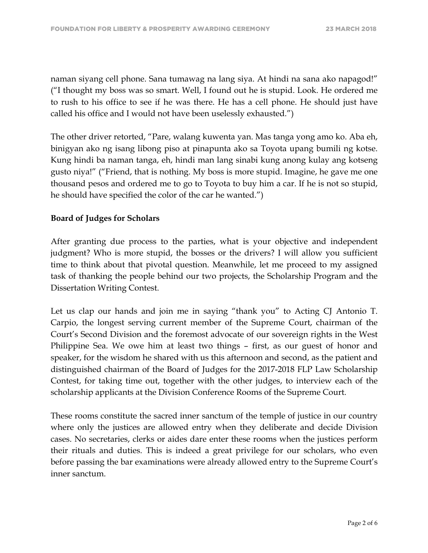naman siyang cell phone. Sana tumawag na lang siya. At hindi na sana ako napagod!" ("I thought my boss was so smart. Well, I found out he is stupid. Look. He ordered me to rush to his office to see if he was there. He has a cell phone. He should just have called his office and I would not have been uselessly exhausted.")

The other driver retorted, "Pare, walang kuwenta yan. Mas tanga yong amo ko. Aba eh, binigyan ako ng isang libong piso at pinapunta ako sa Toyota upang bumili ng kotse. Kung hindi ba naman tanga, eh, hindi man lang sinabi kung anong kulay ang kotseng gusto niya!" ("Friend, that is nothing. My boss is more stupid. Imagine, he gave me one thousand pesos and ordered me to go to Toyota to buy him a car. If he is not so stupid, he should have specified the color of the car he wanted.")

## **Board of Judges for Scholars**

After granting due process to the parties, what is your objective and independent judgment? Who is more stupid, the bosses or the drivers? I will allow you sufficient time to think about that pivotal question. Meanwhile, let me proceed to my assigned task of thanking the people behind our two projects, the Scholarship Program and the Dissertation Writing Contest.

Let us clap our hands and join me in saying "thank you" to Acting CJ Antonio T. Carpio, the longest serving current member of the Supreme Court, chairman of the Court's Second Division and the foremost advocate of our sovereign rights in the West Philippine Sea. We owe him at least two things – first, as our guest of honor and speaker, for the wisdom he shared with us this afternoon and second, as the patient and distinguished chairman of the Board of Judges for the 2017-2018 FLP Law Scholarship Contest, for taking time out, together with the other judges, to interview each of the scholarship applicants at the Division Conference Rooms of the Supreme Court.

These rooms constitute the sacred inner sanctum of the temple of justice in our country where only the justices are allowed entry when they deliberate and decide Division cases. No secretaries, clerks or aides dare enter these rooms when the justices perform their rituals and duties. This is indeed a great privilege for our scholars, who even before passing the bar examinations were already allowed entry to the Supreme Court's inner sanctum.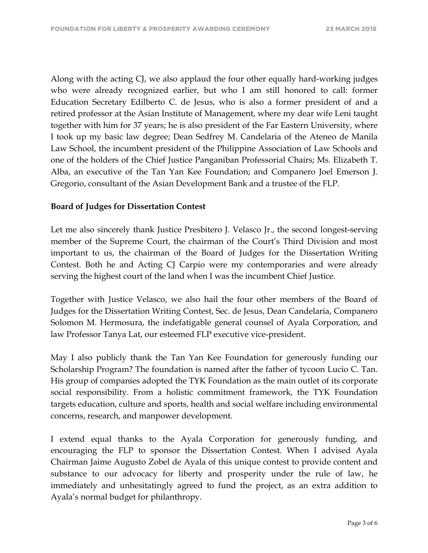Along with the acting CJ, we also applaud the four other equally hard-working judges who were already recognized earlier, but who I am still honored to call: former Education Secretary Edilberto C. de Jesus, who is also a former president of and a retired professor at the Asian Institute of Management, where my dear wife Leni taught together with him for 37 years; he is also president of the Far Eastern University, where I took up my basic law degree; Dean Sedfrey M. Candelaria of the Ateneo de Manila Law School, the incumbent president of the Philippine Association of Law Schools and one of the holders of the Chief Justice Panganiban Professorial Chairs; Ms. Elizabeth T. Alba, an executive of the Tan Yan Kee Foundation; and Companero Joel Emerson J. Gregorio, consultant of the Asian Development Bank and a trustee of the FLP.

#### **Board of Judges for Dissertation Contest**

Let me also sincerely thank Justice Presbitero J. Velasco Jr., the second longest-serving member of the Supreme Court, the chairman of the Court's Third Division and most important to us, the chairman of the Board of Judges for the Dissertation Writing Contest. Both he and Acting CJ Carpio were my contemporaries and were already serving the highest court of the land when I was the incumbent Chief Justice.

Together with Justice Velasco, we also hail the four other members of the Board of Judges for the Dissertation Writing Contest, Sec. de Jesus, Dean Candelaria, Companero Solomon M. Hermosura, the indefatigable general counsel of Ayala Corporation, and law Professor Tanya Lat, our esteemed FLP executive vice-president.

May I also publicly thank the Tan Yan Kee Foundation for generously funding our Scholarship Program? The foundation is named after the father of tycoon Lucio C. Tan. His group of companies adopted the TYK Foundation as the main outlet of its corporate social responsibility. From a holistic commitment framework, the TYK Foundation targets education, culture and sports, health and social welfare including environmental concerns, research, and manpower development.

I extend equal thanks to the Ayala Corporation for generously funding, and encouraging the FLP to sponsor the Dissertation Contest. When I advised Ayala Chairman Jaime Augusto Zobel de Ayala of this unique contest to provide content and substance to our advocacy for liberty and prosperity under the rule of law, he immediately and unhesitatingly agreed to fund the project, as an extra addition to Ayala's normal budget for philanthropy.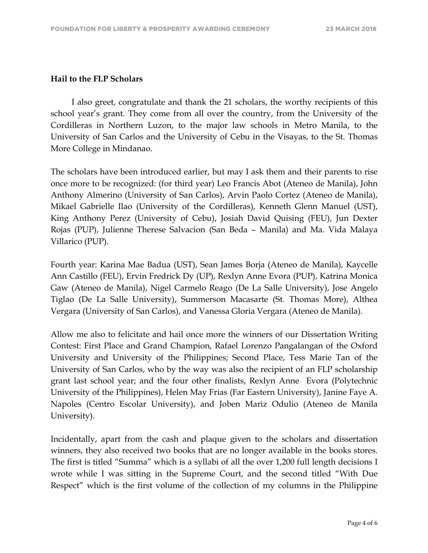#### **Hail to the FLP Scholars**

 I also greet, congratulate and thank the 21 scholars, the worthy recipients of this school year's grant. They come from all over the country, from the University of the Cordilleras in Northern Luzon, to the major law schools in Metro Manila, to the University of San Carlos and the University of Cebu in the Visayas, to the St. Thomas More College in Mindanao.

The scholars have been introduced earlier, but may I ask them and their parents to rise once more to be recognized: (for third year) Leo Francis Abot (Ateneo de Manila), John Anthony Almerino (University of San Carlos), Arvin Paolo Cortez (Ateneo de Manila), Mikael Gabrielle Ilao (University of the Cordilleras), Kenneth Glenn Manuel (UST), King Anthony Perez (University of Cebu), Josiah David Quising (FEU), Jun Dexter Rojas (PUP), Julienne Therese Salvacion (San Beda – Manila) and Ma. Vida Malaya Villarico (PUP).

Fourth year: Karina Mae Badua (UST), Sean James Borja (Ateneo de Manila), Kaycelle Ann Castillo (FEU), Ervin Fredrick Dy (UP), Rexlyn Anne Evora (PUP), Katrina Monica Gaw (Ateneo de Manila), Nigel Carmelo Reago (De La Salle University), Jose Angelo Tiglao (De La Salle University), Summerson Macasarte (St. Thomas More), Althea Vergara (University of San Carlos), and Vanessa Gloria Vergara (Ateneo de Manila).

Allow me also to felicitate and hail once more the winners of our Dissertation Writing Contest: First Place and Grand Champion, Rafael Lorenzo Pangalangan of the Oxford University and University of the Philippines; Second Place, Tess Marie Tan of the University of San Carlos, who by the way was also the recipient of an FLP scholarship grant last school year; and the four other finalists, Rexlyn Anne Evora (Polytechnic University of the Philippines), Helen May Frias (Far Eastern University), Janine Faye A. Napoles (Centro Escolar University), and Joben Mariz Odulio (Ateneo de Manila University).

Incidentally, apart from the cash and plaque given to the scholars and dissertation winners, they also received two books that are no longer available in the books stores. The first is titled "Summa" which is a syllabi of all the over 1,200 full length decisions I wrote while I was sitting in the Supreme Court, and the second titled "With Due Respect" which is the first volume of the collection of my columns in the Philippine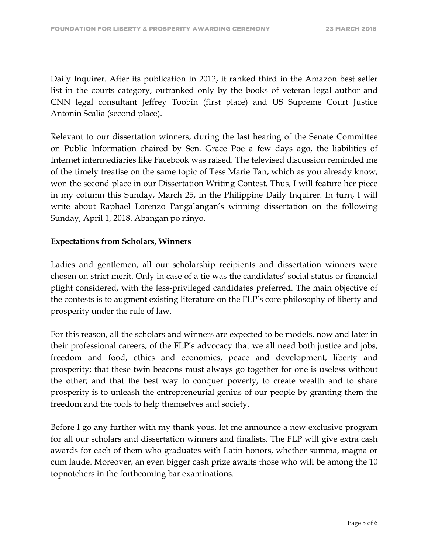Daily Inquirer. After its publication in 2012, it ranked third in the Amazon best seller list in the courts category, outranked only by the books of veteran legal author and CNN legal consultant Jeffrey Toobin (first place) and US Supreme Court Justice Antonin Scalia (second place).

Relevant to our dissertation winners, during the last hearing of the Senate Committee on Public Information chaired by Sen. Grace Poe a few days ago, the liabilities of Internet intermediaries like Facebook was raised. The televised discussion reminded me of the timely treatise on the same topic of Tess Marie Tan, which as you already know, won the second place in our Dissertation Writing Contest. Thus, I will feature her piece in my column this Sunday, March 25, in the Philippine Daily Inquirer. In turn, I will write about Raphael Lorenzo Pangalangan's winning dissertation on the following Sunday, April 1, 2018. Abangan po ninyo.

#### **Expectations from Scholars, Winners**

Ladies and gentlemen, all our scholarship recipients and dissertation winners were chosen on strict merit. Only in case of a tie was the candidates' social status or financial plight considered, with the less-privileged candidates preferred. The main objective of the contests is to augment existing literature on the FLP's core philosophy of liberty and prosperity under the rule of law.

For this reason, all the scholars and winners are expected to be models, now and later in their professional careers, of the FLP's advocacy that we all need both justice and jobs, freedom and food, ethics and economics, peace and development, liberty and prosperity; that these twin beacons must always go together for one is useless without the other; and that the best way to conquer poverty, to create wealth and to share prosperity is to unleash the entrepreneurial genius of our people by granting them the freedom and the tools to help themselves and society.

Before I go any further with my thank yous, let me announce a new exclusive program for all our scholars and dissertation winners and finalists. The FLP will give extra cash awards for each of them who graduates with Latin honors, whether summa, magna or cum laude. Moreover, an even bigger cash prize awaits those who will be among the 10 topnotchers in the forthcoming bar examinations.